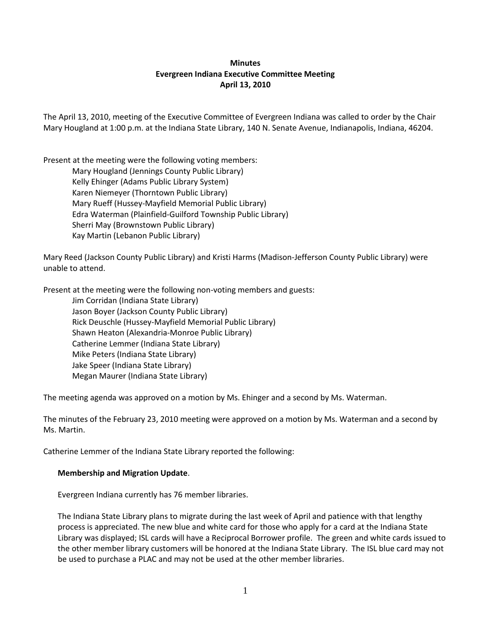# **Minutes Evergreen Indiana Executive Committee Meeting April 13, 2010**

The April 13, 2010, meeting of the Executive Committee of Evergreen Indiana was called to order by the Chair Mary Hougland at 1:00 p.m. at the Indiana State Library, 140 N. Senate Avenue, Indianapolis, Indiana, 46204.

Present at the meeting were the following voting members: Mary Hougland (Jennings County Public Library) Kelly Ehinger (Adams Public Library System) Karen Niemeyer (Thorntown Public Library) Mary Rueff (Hussey-Mayfield Memorial Public Library) Edra Waterman (Plainfield-Guilford Township Public Library) Sherri May (Brownstown Public Library) Kay Martin (Lebanon Public Library)

Mary Reed (Jackson County Public Library) and Kristi Harms (Madison-Jefferson County Public Library) were unable to attend.

Present at the meeting were the following non-voting members and guests:

Jim Corridan (Indiana State Library) Jason Boyer (Jackson County Public Library) Rick Deuschle (Hussey-Mayfield Memorial Public Library) Shawn Heaton (Alexandria-Monroe Public Library) Catherine Lemmer (Indiana State Library) Mike Peters (Indiana State Library) Jake Speer (Indiana State Library) Megan Maurer (Indiana State Library)

The meeting agenda was approved on a motion by Ms. Ehinger and a second by Ms. Waterman.

The minutes of the February 23, 2010 meeting were approved on a motion by Ms. Waterman and a second by Ms. Martin.

Catherine Lemmer of the Indiana State Library reported the following:

## **Membership and Migration Update**.

Evergreen Indiana currently has 76 member libraries.

The Indiana State Library plans to migrate during the last week of April and patience with that lengthy process is appreciated. The new blue and white card for those who apply for a card at the Indiana State Library was displayed; ISL cards will have a Reciprocal Borrower profile. The green and white cards issued to the other member library customers will be honored at the Indiana State Library. The ISL blue card may not be used to purchase a PLAC and may not be used at the other member libraries.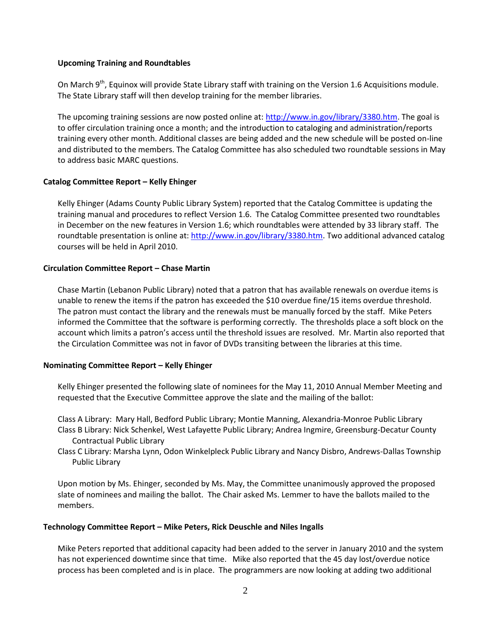### **Upcoming Training and Roundtables**

On March 9<sup>th</sup>, Equinox will provide State Library staff with training on the Version 1.6 Acquisitions module. The State Library staff will then develop training for the member libraries.

The upcoming training sessions are now posted online at: [http://www.in.gov/library/3380.htm.](http://www.in.gov/library/3380.htm) The goal is to offer circulation training once a month; and the introduction to cataloging and administration/reports training every other month. Additional classes are being added and the new schedule will be posted on-line and distributed to the members. The Catalog Committee has also scheduled two roundtable sessions in May to address basic MARC questions.

## **Catalog Committee Report – Kelly Ehinger**

Kelly Ehinger (Adams County Public Library System) reported that the Catalog Committee is updating the training manual and procedures to reflect Version 1.6. The Catalog Committee presented two roundtables in December on the new features in Version 1.6; which roundtables were attended by 33 library staff. The roundtable presentation is online at: [http://www.in.gov/library/3380.htm.](http://www.in.gov/library/3380.htm) Two additional advanced catalog courses will be held in April 2010.

### **Circulation Committee Report – Chase Martin**

Chase Martin (Lebanon Public Library) noted that a patron that has available renewals on overdue items is unable to renew the items if the patron has exceeded the \$10 overdue fine/15 items overdue threshold. The patron must contact the library and the renewals must be manually forced by the staff. Mike Peters informed the Committee that the software is performing correctly. The thresholds place a soft block on the account which limits a patron's access until the threshold issues are resolved. Mr. Martin also reported that the Circulation Committee was not in favor of DVDs transiting between the libraries at this time.

## **Nominating Committee Report – Kelly Ehinger**

Kelly Ehinger presented the following slate of nominees for the May 11, 2010 Annual Member Meeting and requested that the Executive Committee approve the slate and the mailing of the ballot:

Class A Library: Mary Hall, Bedford Public Library; Montie Manning, Alexandria-Monroe Public Library Class B Library: Nick Schenkel, West Lafayette Public Library; Andrea Ingmire, Greensburg-Decatur County Contractual Public Library

Class C Library: Marsha Lynn, Odon Winkelpleck Public Library and Nancy Disbro, Andrews-Dallas Township Public Library

Upon motion by Ms. Ehinger, seconded by Ms. May, the Committee unanimously approved the proposed slate of nominees and mailing the ballot. The Chair asked Ms. Lemmer to have the ballots mailed to the members.

#### **Technology Committee Report – Mike Peters, Rick Deuschle and Niles Ingalls**

Mike Peters reported that additional capacity had been added to the server in January 2010 and the system has not experienced downtime since that time. Mike also reported that the 45 day lost/overdue notice process has been completed and is in place. The programmers are now looking at adding two additional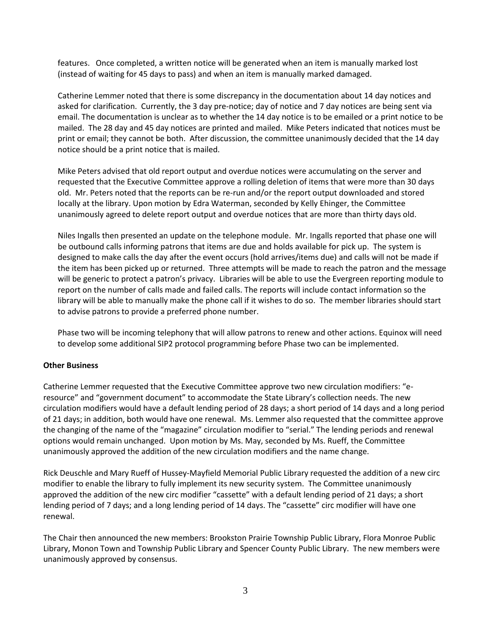features. Once completed, a written notice will be generated when an item is manually marked lost (instead of waiting for 45 days to pass) and when an item is manually marked damaged.

Catherine Lemmer noted that there is some discrepancy in the documentation about 14 day notices and asked for clarification. Currently, the 3 day pre-notice; day of notice and 7 day notices are being sent via email. The documentation is unclear as to whether the 14 day notice is to be emailed or a print notice to be mailed. The 28 day and 45 day notices are printed and mailed. Mike Peters indicated that notices must be print or email; they cannot be both. After discussion, the committee unanimously decided that the 14 day notice should be a print notice that is mailed.

Mike Peters advised that old report output and overdue notices were accumulating on the server and requested that the Executive Committee approve a rolling deletion of items that were more than 30 days old. Mr. Peters noted that the reports can be re-run and/or the report output downloaded and stored locally at the library. Upon motion by Edra Waterman, seconded by Kelly Ehinger, the Committee unanimously agreed to delete report output and overdue notices that are more than thirty days old.

Niles Ingalls then presented an update on the telephone module. Mr. Ingalls reported that phase one will be outbound calls informing patrons that items are due and holds available for pick up. The system is designed to make calls the day after the event occurs (hold arrives/items due) and calls will not be made if the item has been picked up or returned. Three attempts will be made to reach the patron and the message will be generic to protect a patron's privacy. Libraries will be able to use the Evergreen reporting module to report on the number of calls made and failed calls. The reports will include contact information so the library will be able to manually make the phone call if it wishes to do so. The member libraries should start to advise patrons to provide a preferred phone number.

Phase two will be incoming telephony that will allow patrons to renew and other actions. Equinox will need to develop some additional SIP2 protocol programming before Phase two can be implemented.

## **Other Business**

Catherine Lemmer requested that the Executive Committee approve two new circulation modifiers: "eresource" and "government document" to accommodate the State Library's collection needs. The new circulation modifiers would have a default lending period of 28 days; a short period of 14 days and a long period of 21 days; in addition, both would have one renewal. Ms. Lemmer also requested that the committee approve the changing of the name of the "magazine" circulation modifier to "serial." The lending periods and renewal options would remain unchanged. Upon motion by Ms. May, seconded by Ms. Rueff, the Committee unanimously approved the addition of the new circulation modifiers and the name change.

Rick Deuschle and Mary Rueff of Hussey-Mayfield Memorial Public Library requested the addition of a new circ modifier to enable the library to fully implement its new security system. The Committee unanimously approved the addition of the new circ modifier "cassette" with a default lending period of 21 days; a short lending period of 7 days; and a long lending period of 14 days. The "cassette" circ modifier will have one renewal.

The Chair then announced the new members: Brookston Prairie Township Public Library, Flora Monroe Public Library, Monon Town and Township Public Library and Spencer County Public Library. The new members were unanimously approved by consensus.